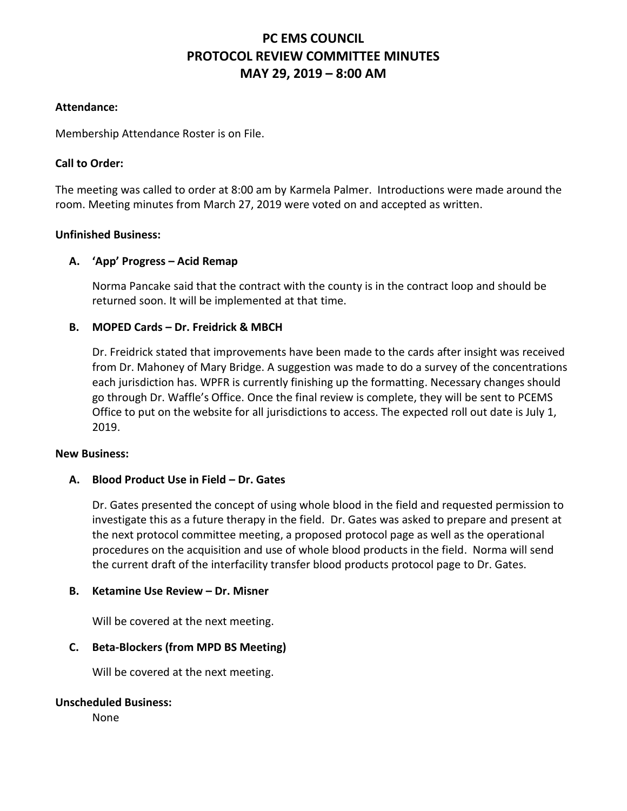# **PC EMS COUNCIL PROTOCOL REVIEW COMMITTEE MINUTES MAY 29, 2019 – 8:00 AM**

## **Attendance:**

Membership Attendance Roster is on File.

## **Call to Order:**

The meeting was called to order at 8:00 am by Karmela Palmer. Introductions were made around the room. Meeting minutes from March 27, 2019 were voted on and accepted as written.

## **Unfinished Business:**

## **A. 'App' Progress – Acid Remap**

Norma Pancake said that the contract with the county is in the contract loop and should be returned soon. It will be implemented at that time.

## **B. MOPED Cards – Dr. Freidrick & MBCH**

Dr. Freidrick stated that improvements have been made to the cards after insight was received from Dr. Mahoney of Mary Bridge. A suggestion was made to do a survey of the concentrations each jurisdiction has. WPFR is currently finishing up the formatting. Necessary changes should go through Dr. Waffle's Office. Once the final review is complete, they will be sent to PCEMS Office to put on the website for all jurisdictions to access. The expected roll out date is July 1, 2019.

#### **New Business:**

#### **A. Blood Product Use in Field – Dr. Gates**

Dr. Gates presented the concept of using whole blood in the field and requested permission to investigate this as a future therapy in the field. Dr. Gates was asked to prepare and present at the next protocol committee meeting, a proposed protocol page as well as the operational procedures on the acquisition and use of whole blood products in the field. Norma will send the current draft of the interfacility transfer blood products protocol page to Dr. Gates.

#### **B. Ketamine Use Review – Dr. Misner**

Will be covered at the next meeting.

## **C. Beta-Blockers (from MPD BS Meeting)**

Will be covered at the next meeting.

#### **Unscheduled Business:**

None